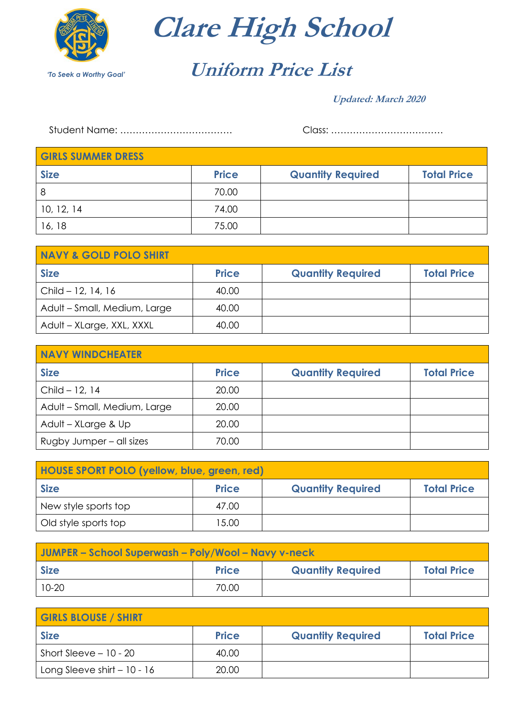

**Clare High School**

## **Uniform Price List**

## **Updated: March 2020**

Student Name: ……………………………… Class: ………………………………

| <b>GIRLS SUMMER DRESS</b> |              |                          |                    |
|---------------------------|--------------|--------------------------|--------------------|
| <b>Size</b>               | <b>Price</b> | <b>Quantity Required</b> | <b>Total Price</b> |
| 8                         | 70.00        |                          |                    |
| 10, 12, 14                | 74.00        |                          |                    |
| 16, 18                    | 75.00        |                          |                    |

| <b>NAVY &amp; GOLD POLO SHIRT</b> |              |                          |                    |
|-----------------------------------|--------------|--------------------------|--------------------|
| <b>Size</b>                       | <b>Price</b> | <b>Quantity Required</b> | <b>Total Price</b> |
| Child - 12, 14, 16                | 40.00        |                          |                    |
| Adult - Small, Medium, Large      | 40.00        |                          |                    |
| Adult - XLarge, XXL, XXXL         | 40.00        |                          |                    |

| <b>NAVY WINDCHEATER</b>      |              |                          |                    |
|------------------------------|--------------|--------------------------|--------------------|
| <b>Size</b>                  | <b>Price</b> | <b>Quantity Required</b> | <b>Total Price</b> |
| Child $-12, 14$              | 20.00        |                          |                    |
| Adult - Small, Medium, Large | 20.00        |                          |                    |
| Adult - XLarge & Up          | 20.00        |                          |                    |
| Rugby Jumper – all sizes     | 70.00        |                          |                    |

| <b>HOUSE SPORT POLO (yellow, blue, green, red)</b> |              |                          |                    |
|----------------------------------------------------|--------------|--------------------------|--------------------|
| <b>Size</b>                                        | <b>Price</b> | <b>Quantity Required</b> | <b>Total Price</b> |
| New style sports top                               | 47.00        |                          |                    |
| Old style sports top                               | 15.00        |                          |                    |

| JUMPER – School Superwash – Poly/Wool – Navy v-neck |              |                          |                    |
|-----------------------------------------------------|--------------|--------------------------|--------------------|
| <b>Size</b>                                         | <b>Price</b> | <b>Quantity Required</b> | <b>Total Price</b> |
| $10 - 20$                                           | 70.00        |                          |                    |

| <b>GIRLS BLOUSE / SHIRT</b>  |              |                          |                    |
|------------------------------|--------------|--------------------------|--------------------|
| <b>Size</b>                  | <b>Price</b> | <b>Quantity Required</b> | <b>Total Price</b> |
| Short Sleeve $-10 - 20$      | 40.00        |                          |                    |
| Long Sleeve shirt $-10 - 16$ | 20.00        |                          |                    |